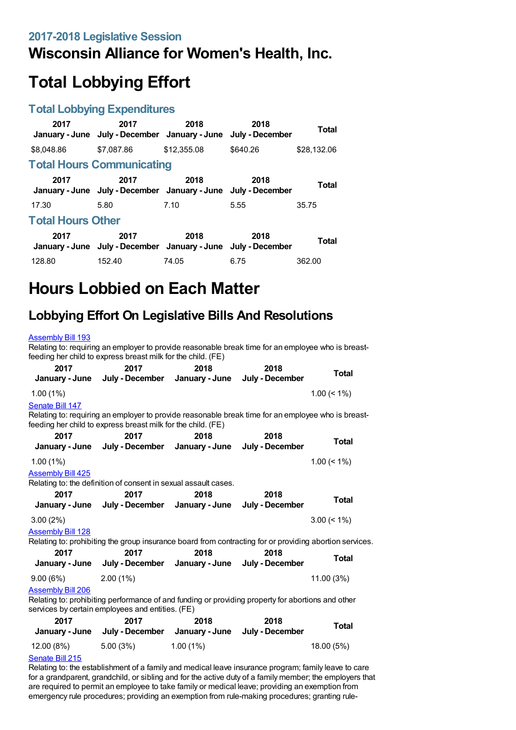## **Wisconsin Alliance for Women's Health, Inc.**

# **Total Lobbying Effort**

### **Total Lobbying Expenditures**

| 2017                     | 2017<br>January - June July - December January - June                 | 2018        | 2018<br>July - December | Total        |  |
|--------------------------|-----------------------------------------------------------------------|-------------|-------------------------|--------------|--|
| \$8,048.86               | \$7,087.86                                                            | \$12,355.08 | \$640.26                | \$28,132.06  |  |
|                          | <b>Total Hours Communicating</b>                                      |             |                         |              |  |
| 2017                     | 2017<br>January - June July - December January - June July - December | 2018        | 2018                    | <b>Total</b> |  |
| 17.30                    | 5.80                                                                  | 7.10        | 5.55                    | 35.75        |  |
| <b>Total Hours Other</b> |                                                                       |             |                         |              |  |
| 2017                     | 2017<br>January - June July - December January - June July - December | 2018        | 2018                    | Total        |  |
| 128.80                   | 152.40                                                                | 74.05       | 6.75                    | 362.00       |  |

# **Hours Lobbied on Each Matter**

## **Lobbying Effort On Legislative Bills And Resolutions**

#### [Assembly](https://lobbying.wi.gov/What/BillInformation/2017REG/Information/14107?tab=Efforts) Bill 193 Relating to: requiring an employer to provide reasonable break time for an employee who is breastfeeding her child to express breast milk for the child. (FE) **2017 January - June 2017 July - December 2018 January - June 2018 July - December Total** 1.00 (1%) 1.00 (< 1%) [Senate](https://lobbying.wi.gov/What/BillInformation/2017REG/Information/14087?tab=Efforts) Bill 147 Relating to: requiring an employer to provide reasonable break time for an employee who is breastfeeding her child to express breast milk for the child. (FE) **2017 January - June 2017 July - December 2018 January - June 2018 July - December Total** 1.00 (1%) 1.00 (< 1%) **[Assembly](https://lobbying.wi.gov/What/BillInformation/2017REG/Information/14599?tab=Efforts) Bill 425** Relating to: the definition of consent in sexual assault cases. **2017 January - June 2017 July - December 2018 January - June 2018 July - December Total** 3.00 (2%) 3.00 (< 1%) **[Assembly](https://lobbying.wi.gov/What/BillInformation/2017REG/Information/13949?tab=Efforts) Bill 128** Relating to: prohibiting the group insurance board from contracting for or providing abortion services. **2017 January - June 2017 July - December 2018 January - June 2018 July - December Total** 9.00 (6%) 2.00 (1%) 11.00 (3%) [Assembly](https://lobbying.wi.gov/What/BillInformation/2017REG/Information/14123?tab=Efforts) Bill 206 Relating to: prohibiting performance of and funding or providing property for abortions and other services by certain employees and entities. (FE) **2017 January - June 2017 July - December 2018 January - June 2018 July - December Total** 12.00 (8%) 5.00 (3%) 1.00 (1%) 18.00 (5%) [Senate](https://lobbying.wi.gov/What/BillInformation/2017REG/Information/14246?tab=Efforts) Bill 215 Relating to: the establishment of a family and medical leave insurance program; family leave to care for a grandparent, grandchild, or sibling and for the active duty of a family member; the employers that are required to permit an employee to take family or medical leave; providing an exemption from emergency rule procedures; providing an exemption from rule-making procedures; granting rule-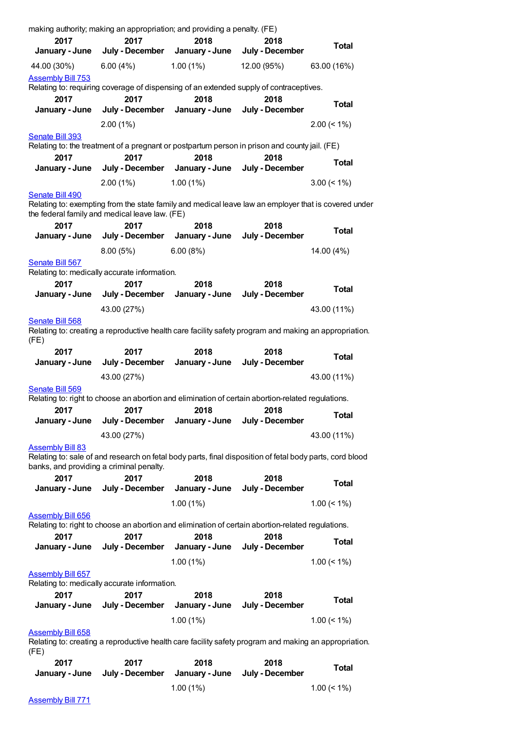| making authority; making an appropriation; and providing a penalty. (FE)                              |                 |                                                                                                          |                 |                 |
|-------------------------------------------------------------------------------------------------------|-----------------|----------------------------------------------------------------------------------------------------------|-----------------|-----------------|
| 2017                                                                                                  | 2017            | 2018                                                                                                     | 2018            | <b>Total</b>    |
| January - June                                                                                        | July - December | January - June                                                                                           | July - December |                 |
| 44.00 (30%)                                                                                           | 6.00(4%)        | 1.00(1%)                                                                                                 | 12.00 (95%)     | 63.00 (16%)     |
| <b>Assembly Bill 753</b>                                                                              |                 |                                                                                                          |                 |                 |
|                                                                                                       |                 | Relating to: requiring coverage of dispensing of an extended supply of contraceptives.                   |                 |                 |
| 2017                                                                                                  | 2017            | 2018                                                                                                     | 2018            | <b>Total</b>    |
| January - June                                                                                        | July - December | January - June                                                                                           | July - December |                 |
|                                                                                                       | 2.00(1%)        |                                                                                                          |                 | $2.00 \le 1\%$  |
| Senate Bill 393                                                                                       |                 |                                                                                                          |                 |                 |
|                                                                                                       |                 | Relating to: the treatment of a pregnant or postpartum person in prison and county jail. (FE)            |                 |                 |
| 2017                                                                                                  | 2017            | 2018                                                                                                     | 2018            | <b>Total</b>    |
| January - June                                                                                        | July - December | January - June                                                                                           | July - December |                 |
|                                                                                                       | 2.00(1%)        | 1.00(1%)                                                                                                 |                 | $3.00 \le 1\%$  |
| Senate Bill 490                                                                                       |                 |                                                                                                          |                 |                 |
| the federal family and medical leave law. (FE)                                                        |                 | Relating to: exempting from the state family and medical leave law an employer that is covered under     |                 |                 |
| 2017                                                                                                  | 2017            | 2018                                                                                                     | 2018            | <b>Total</b>    |
| January - June                                                                                        |                 | July - December January - June                                                                           | July - December |                 |
|                                                                                                       | 8.00 (5%)       | 6.00(8%)                                                                                                 |                 | 14.00 (4%)      |
| Senate Bill 567                                                                                       |                 |                                                                                                          |                 |                 |
| Relating to: medically accurate information.                                                          |                 |                                                                                                          |                 |                 |
| 2017                                                                                                  | 2017            | 2018                                                                                                     | 2018            | <b>Total</b>    |
| January - June                                                                                        | July - December | January - June                                                                                           | July - December |                 |
|                                                                                                       | 43.00 (27%)     |                                                                                                          |                 | 43.00 (11%)     |
| Senate Bill 568                                                                                       |                 |                                                                                                          |                 |                 |
| (FE)                                                                                                  |                 | Relating to: creating a reproductive health care facility safety program and making an appropriation.    |                 |                 |
| 2017                                                                                                  | 2017            | 2018                                                                                                     | 2018            | <b>Total</b>    |
| January - June                                                                                        | July - December | January - June                                                                                           | July - December |                 |
|                                                                                                       | 43.00 (27%)     |                                                                                                          |                 | 43.00 (11%)     |
| Senate Bill 569                                                                                       |                 |                                                                                                          |                 |                 |
|                                                                                                       |                 | Relating to: right to choose an abortion and elimination of certain abortion-related regulations.        |                 |                 |
| 2017                                                                                                  | 2017            | 2018                                                                                                     | 2018            | <b>Total</b>    |
| January - June                                                                                        | July - December | January - June                                                                                           | July - December |                 |
|                                                                                                       | 43.00 (27%)     |                                                                                                          |                 | 43.00 (11%)     |
| <b>Assembly Bill 83</b><br>banks, and providing a criminal penalty.                                   |                 | Relating to: sale of and research on fetal body parts, final disposition of fetal body parts, cord blood |                 |                 |
| 2017                                                                                                  | 2017            | 2018                                                                                                     | 2018            |                 |
| January - June                                                                                        | July - December | January - June                                                                                           | July - December | <b>Total</b>    |
|                                                                                                       |                 | 1.00(1%)                                                                                                 |                 | $1.00 \le 1\%$  |
| <b>Assembly Bill 656</b>                                                                              |                 |                                                                                                          |                 |                 |
|                                                                                                       |                 | Relating to: right to choose an abortion and elimination of certain abortion-related regulations.        |                 |                 |
| 2017                                                                                                  | 2017            | 2018                                                                                                     | 2018            |                 |
| January - June                                                                                        | July - December | January - June                                                                                           | July - December | <b>Total</b>    |
|                                                                                                       |                 | 1.00(1%)                                                                                                 |                 | $1.00 \le 1\%$  |
| <b>Assembly Bill 657</b>                                                                              |                 |                                                                                                          |                 |                 |
| Relating to: medically accurate information.                                                          |                 |                                                                                                          |                 |                 |
| 2017                                                                                                  | 2017            | 2018                                                                                                     | 2018            |                 |
| January - June                                                                                        | July - December | January - June                                                                                           | July - December | <b>Total</b>    |
|                                                                                                       |                 | 1.00(1%)                                                                                                 |                 | $1.00 \le 1\%$  |
| <b>Assembly Bill 658</b>                                                                              |                 |                                                                                                          |                 |                 |
| Relating to: creating a reproductive health care facility safety program and making an appropriation. |                 |                                                                                                          |                 |                 |
| (FE)                                                                                                  |                 |                                                                                                          |                 |                 |
| 2017                                                                                                  | 2017            | 2018                                                                                                     | 2018            | <b>Total</b>    |
| January - June                                                                                        | July - December | January - June                                                                                           | July - December |                 |
|                                                                                                       |                 | 1.00(1%)                                                                                                 |                 | $1.00 ( < 1\%)$ |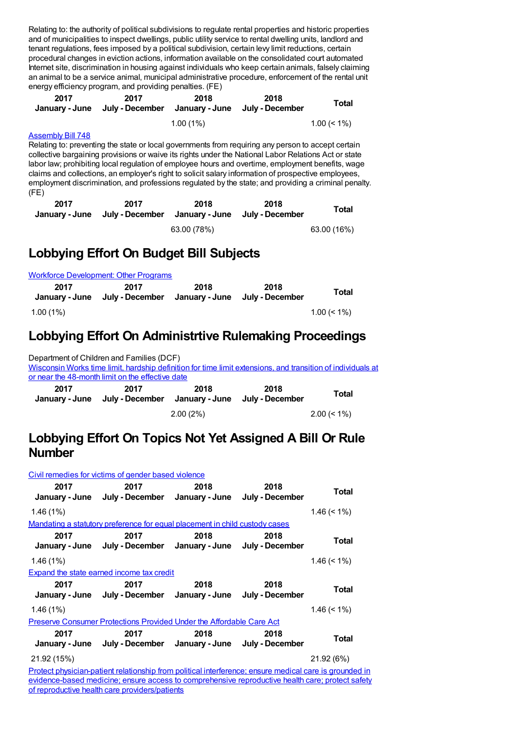Relating to: the authority of political subdivisions to regulate rental properties and historic properties and of municipalities to inspect dwellings, public utility service to rental dwelling units, landlord and tenant regulations, fees imposed by a political subdivision, certain levy limit reductions, certain procedural changes in eviction actions, information available on the consolidated court automated Internet site, discrimination in housing against individuals who keep certain animals, falsely claiming an animal to be a service animal, municipal administrative procedure, enforcement of the rental unit energy efficiency program, and providing penalties. (FE)

| 2017 | 2017<br>January - June July - December January - June July - December | 2018        | 2018 | <b>Total</b>   |
|------|-----------------------------------------------------------------------|-------------|------|----------------|
|      |                                                                       | $1.00(1\%)$ |      | $1.00 \le 1\%$ |

### [Assembly](https://lobbying.wi.gov/What/BillInformation/2017REG/Information/15286?tab=Efforts) Bill 748

Relating to: preventing the state or local governments from requiring any person to accept certain collective bargaining provisions or waive its rights under the National Labor Relations Act or state labor law; prohibiting local regulation of employee hours and overtime, employment benefits, wage claims and collections, an employer's right to solicit salary information of prospective employees, employment discrimination, and professions regulated by the state; and providing a criminal penalty. (FE)

| 2017 | 2017<br>January - June July - December January - June July - December | 2018        | 2018 | Total       |
|------|-----------------------------------------------------------------------|-------------|------|-------------|
|      |                                                                       | 63.00 (78%) |      | 63.00 (16%) |

## **Lobbying Effort On Budget Bill Subjects**

|                        | <b>Workforce Development: Other Programs</b>           |      |      |                |
|------------------------|--------------------------------------------------------|------|------|----------------|
| 2017<br>January - June | 2017<br>July - December January - June July - December | 2018 | 2018 | Total          |
| $1.00(1\%)$            |                                                        |      |      | $1.00 \le 1\%$ |

### **Lobbying Effort On Administrtive Rulemaking Proceedings**

Department of Children and Families (DCF) Wisconsin Works time limit, hardship definition for time limit [extensions,](https://lobbying.wi.gov/What/AdministrativeRuleInformation/2017REG/Information/5640?tab=Efforts) and transition of individuals at or near the 48-month limit on the effective date **2017 January - June July - December January - June July - December 2017 2018 2018 Total** 2.00 (2%) 2.00 (< 1%)

### **Lobbying Effort On Topics Not Yet Assigned A Bill Or Rule Number**

| Civil remedies for victims of gender based violence                                                    |                                                                             |      |      |                |  |
|--------------------------------------------------------------------------------------------------------|-----------------------------------------------------------------------------|------|------|----------------|--|
| 2017                                                                                                   | 2017<br>January - June July - December January - June July - December       | 2018 | 2018 | Total          |  |
| 1.46(1%)                                                                                               |                                                                             |      |      | $1.46 \le 1\%$ |  |
|                                                                                                        | Mandating a statutory preference for equal placement in child custody cases |      |      |                |  |
| 2017                                                                                                   | 2017<br>January - June July - December January - June July - December       | 2018 | 2018 | Total          |  |
| 1.46(1%)                                                                                               |                                                                             |      |      | $1.46 \le 1\%$ |  |
|                                                                                                        | <b>Expand the state earned income tax credit</b>                            |      |      |                |  |
| 2017                                                                                                   | 2017<br>January - June July - December January - June July - December       | 2018 | 2018 | Total          |  |
| 1.46(1%)                                                                                               |                                                                             |      |      | $1.46 \le 1\%$ |  |
| <b>Preserve Consumer Protections Provided Under the Affordable Care Act</b>                            |                                                                             |      |      |                |  |
| 2017                                                                                                   | 2017<br>January - June July - December January - June July - December       | 2018 | 2018 | Total          |  |
| 21.92 (15%)                                                                                            |                                                                             |      |      | 21.92 (6%)     |  |
| Protect physician-patient relationship from political interference; ensure medical care is grounded in |                                                                             |      |      |                |  |
| evidence-based medicine; ensure access to comprehensive reproductive health care; protect safety       |                                                                             |      |      |                |  |

of reproductive health care providers/patients